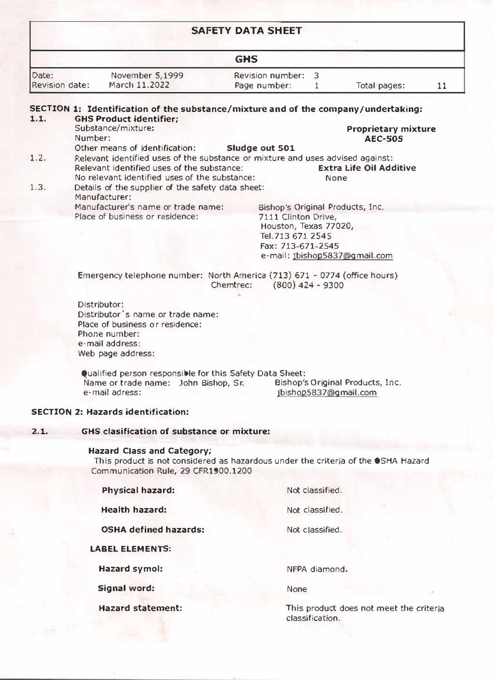Hazard statement: **This product does not meet the criteria** classification.

|                         |                                                                                                                              | <b>SAFETY DATA SHEET</b>                |                    |                                  |    |
|-------------------------|------------------------------------------------------------------------------------------------------------------------------|-----------------------------------------|--------------------|----------------------------------|----|
| <b>GHS</b>              |                                                                                                                              |                                         |                    |                                  |    |
| Date:<br>Revision date: | November 5,1999<br>March 11.2022                                                                                             | <b>Revision number:</b><br>Page number: | 3<br>1             | Total pages:                     | 11 |
|                         | SECTION 1: Identification of the substance/mixture and of the company/undertaking:                                           |                                         |                    |                                  |    |
| 1.1.                    | <b>GHS Product identifier;</b>                                                                                               |                                         |                    |                                  |    |
|                         | Substance/mixture:                                                                                                           |                                         |                    | <b>Proprietary mixture</b>       |    |
|                         | Number:                                                                                                                      |                                         |                    | <b>AEC-505</b>                   |    |
|                         | Other means of identification:                                                                                               | Sludge out 501                          |                    |                                  |    |
| 1.2.                    | Relevant identified uses of the substance or mixture and uses advised against:<br>Relevant identified uses of the substance: |                                         |                    | <b>Extra Life Oil Additive</b>   |    |
|                         | No relevant identified uses of the substance:                                                                                |                                         |                    | <b>None</b>                      |    |
| 1.3.                    | Details of the supplier of the safety data sheet:                                                                            |                                         |                    |                                  |    |
|                         | Manufacturer:                                                                                                                |                                         |                    |                                  |    |
|                         | Manufacturer's name or trade name:                                                                                           |                                         |                    | Bishop's Original Products, Inc. |    |
|                         | Place of business or residence:                                                                                              | 7111 Clinton Drive,                     |                    |                                  |    |
|                         |                                                                                                                              | Houston, Texas 77020,                   |                    |                                  |    |
|                         |                                                                                                                              | Tel. 713 671 2545                       |                    |                                  |    |
|                         |                                                                                                                              | Fax: 713-671-2545                       |                    |                                  |    |
|                         |                                                                                                                              |                                         |                    | e-mail: 1bishop5837@gmail.com    |    |
|                         | Emergency telephone number: North America (713) 671 - 0774 (office hours)                                                    |                                         |                    |                                  |    |
|                         |                                                                                                                              | Chemtrec:                               | $(800)$ 424 - 9300 |                                  |    |
|                         |                                                                                                                              |                                         |                    |                                  |    |
|                         | Distributor:                                                                                                                 |                                         |                    |                                  |    |
|                         | Distributor's name or trade name:                                                                                            |                                         |                    |                                  |    |
|                         | Place of business or residence:<br>Phone number:                                                                             |                                         |                    |                                  |    |
|                         | e-mail address:                                                                                                              |                                         |                    |                                  |    |
|                         | Web page address:                                                                                                            |                                         |                    |                                  |    |
|                         |                                                                                                                              |                                         |                    |                                  |    |
|                         | Qualified person responsible for this Safety Data Sheet:                                                                     |                                         |                    |                                  |    |
|                         | Name or trade name: John Bishop, Sr.                                                                                         |                                         |                    | Bishop's Original Products, Inc. |    |
|                         | e-mail adress:                                                                                                               |                                         |                    | jbishop5837@gmail.com            |    |
|                         | <b>SECTION 2: Hazards identification:</b>                                                                                    |                                         |                    |                                  |    |
| 2.1.                    | <b>GHS clasification of substance or mixture:</b>                                                                            |                                         |                    |                                  |    |
|                         | Hazard Class and Category;                                                                                                   |                                         |                    |                                  |    |
|                         | This product is not considered as hazardous under the criteria of the OSHA Hazard                                            |                                         |                    |                                  |    |
|                         | Communication Rule, 29 CFR1900.1200                                                                                          |                                         |                    |                                  |    |

**Physical hazard:** 

**Health hazard:** 

**OSHA defined hazards:** 

### **LABEL ELEMENTS:**

**Hazard symol:** 

**Signal word:** 

Not classified.

Not classified.

Not classified.

NFPA diamond.

None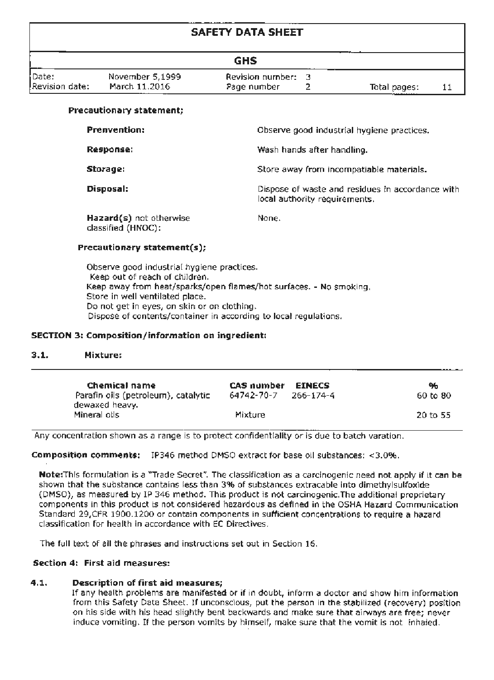#### CACCTV DATA CHEET

|                         |                                  | <b>GHS</b>                        |              |  |
|-------------------------|----------------------------------|-----------------------------------|--------------|--|
| Date:<br>Revision date: | November 5,1999<br>March 11.2016 | Revision number: 3<br>Page number | Total pages: |  |

#### Precautionary statement:

| <b>Prenvention:</b>                           | Observe good industrial hygiene practices.                                        |
|-----------------------------------------------|-----------------------------------------------------------------------------------|
| Response:                                     | Wash hands after handling.                                                        |
| Storage:                                      | Store away from incompatiable materials.                                          |
| Disposal:                                     | Dispose of waste and residues in accordance with<br>local authority requirements. |
| Hazard(s) not otherwise<br>classified (HNOC): | None.                                                                             |

#### Precautionary statement(s):

Observe good industrial hygiene practices. Keen out of reach of children. Keep away from heat/sparks/open flames/hot surfaces. - No smoking. Store in well ventilated place. Do not get in eyes, on skin or on clothing. Dispose of contents/container in according to local regulations.

#### SECTION 3: Composition/information on ingredient:

#### $3.1.$ Mixturer

| Chemical name<br>Parafin oils (petroleum), catalytic<br>dewaxed heavy. | CAS number<br>64742-70-7 | <b>ETNECS</b><br>$266 - 174 - 4$ | 96<br>60 to 80 |
|------------------------------------------------------------------------|--------------------------|----------------------------------|----------------|
| Mineral olls                                                           | Mixture                  |                                  | 20 to 55       |

Any concentration shown as a range is to protect confidentiality or is due to batch varation.

Composition comments: IP346 method DMSO extract for base oil substances: <3.0%.

Note:This formulation is a "Trade Secret". The classification as a carcinogenic need not apply if it can be shown that the substance contains less than 3% of substances extracable into dimethylsulfoxide (DMSO), as measured by 1P 346 method. This product is not carcinogenic. The additional proprietary components in this product is not considered hazardous as defined in the OSHA Hazard Communication Standard 29.CER 1900-1200 or contain components in sufficient concentrations to require a bazard classification for beath in accordance with EC Directives

The full text of all the phrases and instructions set out in Section 16.

#### Section 4: First aid measures:

#### $4.1.$ **Description of first aid measures;**

If any health problems are manifested or if in doubt, inform a doctor and show him information from this Safety Data Sheet. If unconscious, put the person in the stabilized (recovery) position on his side with his head slightly bent backwards and make sure that airways are free; never induce vomiting. If the person vomits by himself, make sure that the vomit is not inhaled.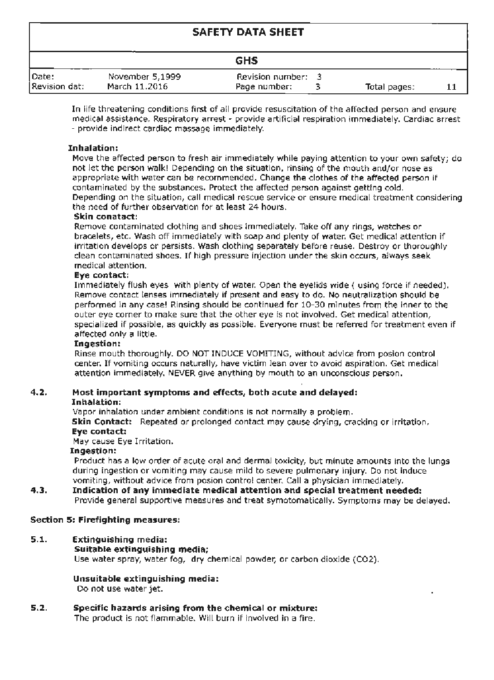#### SAFETY DATA SHEET

|               |                 | <b>GHS</b>       |              |  |
|---------------|-----------------|------------------|--------------|--|
| Date:         | November 5.1999 | Revision number: |              |  |
| Revision dat: | March 11.2016   | Page number:     | Total pages: |  |

In life threatening conditions first of all provide resuscitation of the affected person and ensure medical assistance. Respiratory arrest - provide artificial respiration immediately. Cardiac arrest - provide indirect cardiac massage immediately.

#### **Inhalation:**

Move the affected person to fresh air immediately while paying attention to your own safety; do not let the person walk! Depending on the situation, rinsing of the mouth and/or gose as .ippropriate with water can be recommended. Change the clothes of the affected person if contaminated by the substances. Protect the affected person against getting cold. Depending on the situation, call medical rescue service or ensure medical treatment considering the need of further observation for at least 24 hours.

Remove contaminated clothing and shoes immediately. Take off any rings, watches or bracelets, etc. Wash off immediately with soap and plenty of water. Get medical attention if irritation develops or persists. Wash clothing separately before reuse. Destroy or thoroughly clean contaminated shoes. If high pressure injection under the skin occurs, always seek medical attention.

#### Eye contact:

Immediately flush eyes with plenty of water. Open the eyelids wide ( using fon:e if needed). Remove contact lenses immediately if present and easy to do. No neutralization should be performed in any case! Rinsing should be continued for 10-30 minutes from the inner to the outer eve corner to make sure that the other eve is not involved. Get medical attention, specialized if possible, as quickly as possible. Everyone must be referred for treatment even if affected only a little.

#### Ingestion:

Rinse mouth thoroughly. DO NOT INDUCE VOMITING, without advice from posion control center. If vomiting occurs naturally, have victim lean over to avoid aspiration. Get medical attention immediately. NEVER give anything by mouth to an unconscious person.

#### 4.2. Most important symptoms and effects, both acute and delayed:

#### Inhalation:

Vapor inhalation under ambient conditions is not normally a problem. Skin Contact: Repeated or prolonged contact may cause drying, cracking or irritation. Eye contact:

May cause Eye Irritation.

#### Ingestion:

Product has a low order of acute oral and dermal toxicity, but minute amounts into the lungs during ingestion or vomiting may cause mild to severe pulmonary injury. Do not induce vomiting, without advice from posion control center. Call a physician immediately.

#### 4.3. Indication of any immediate medical attention and special treatment needed: Provide general supportive measures and treat symotomatically. Symptoms may be delayed.

#### Section 5: Firefighting measures:

#### 5.1. Extinguishing media:

#### Suitable extinguishing media;

Use water spray, water fog, dry chemical powder, or carbon dioxide (CO2).

#### Unsuitable extinguishing media:

Do not use water jet.

#### $5.2.$ Specific hazards arising from the chemical or mixture: The product is not flammable. Will burn if involved in a fire.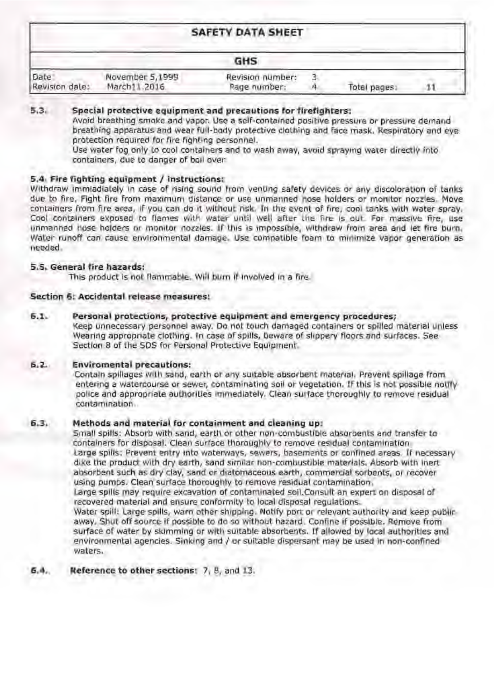## **5,3, Special protective equipment and precautions for firefighters:**

Avoid breathing smoke and vapor. Use a self-contained positive pressure or pressure demand breathing apparatus and wear full-body protective clothing and face mask. Respiratory and eye: protection required for fire fighting personnel.

Use water fog only to cool containers and to wash away, avoid spraying water directly into containers, due to danger of boil over.

|                        |                                 | <b>SAFETY DATA SHEET</b>         |              |  |
|------------------------|---------------------------------|----------------------------------|--------------|--|
|                        |                                 | <b>GHS</b>                       |              |  |
| Date<br>Revision date: | November 5,1999<br>March11.2016 | Revision number:<br>Page number: | Total pages, |  |

### **5,4, F1re fighting equipment** / **Instructions;**

Withdraw immiadiately in case of rising sound from venting safety devices or any discoloration of tanks due to fire, Fight fire from maximum distance or use unmanned hose holders or monitor nozzles. Move containers from fire area, If you can do it without risk. In the event of fire, cool tanks with water spray. Cool containers exposed to flames with water until well after the fire is out For massive fire, use unmanned hose holders or monitor nozzles. If this is impossible, withdraw from area and let fire burn. Water runoff can cause environmental damage. Use compatible foam to minimize vapor generation as needed,

Contain spillages with sand, earth or any suitable absorbent material. Prevent spillage from entering a watercourse or sewer, contaminating soil or vegetation. If this is not possible notify police and appropriate authorities immediately. Clean surface thoroughly to remove residual contamination,

## **6.3.** Methods and material for containment and cleaning up:

Small spills: Absorb with sand, earth or other non-combustible absorbents and transfer to containers for disposal. Clean surface thoroughly to remove residual contamination Large spills: Prevent entry into waterways, sewers, basements or confined areas. If necessary dike the product with dry earth, sand similar non-combustible materials. Absorb with inert absorbent such as dry clay, sand or diatomaceous earth, commercial sorbents, or recover using pumps. Clean surface thoroughly to remove residual contamination.

## **5.5. General fire hazards:**

This product is not flammable. Will burn if involved in a fire.

## **Section 6: Accidental release measures;**

## **6.1.** Personal protections, protective equipment and emergency procedures;

Keep unnecessary personnel away. Do not touch damaged containers or spilled material unless Wearing appropriate clothing. In case of spills, beware of slippery floors and surfaces. See Section 8 of the SDS for Personal Protective Equipment.

## **6.2. Enviromental precautions:**

Large spills may require excavation of contaminated soil.Consult an expert on disposai of recovered material and ensure conformity to local disposal regulations.,

Water spill: Large spills, warn other shipping. Notify port or relevant authority and keep public away. Shut off source if possible to do so without hazard. Confine if possible. Remove from surface of water by skimming or with suitable absorbents. If allowed by local authorities and environmental agencies. Sinking and/ or suitable dispersant may be used in, non-conffned waters.

## **6.4. Reference to other sectionst** 7, 8, and 13.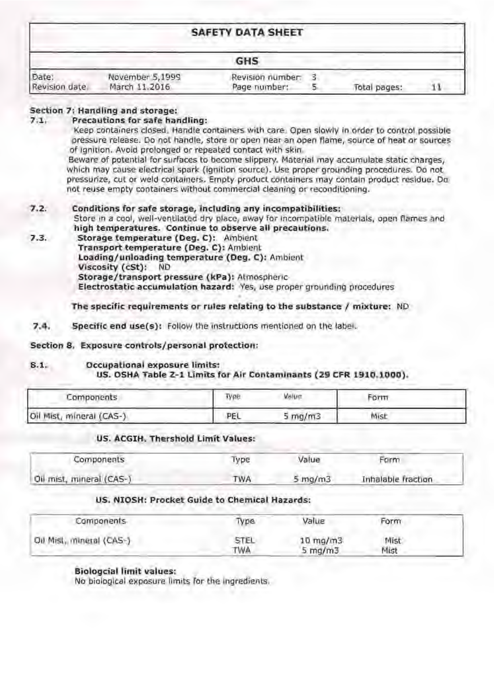|                        |                                  | <b>SAFETY DATA SHEET</b>         |              |  |
|------------------------|----------------------------------|----------------------------------|--------------|--|
|                        |                                  | <b>GHS</b>                       |              |  |
| Date:<br>Revision date | November 5,1999<br>March 11.2016 | Revision number:<br>Page number: | Total pages: |  |

Keep containers closed. Handle containers with care. Open slowly in order to control possible pressure release. Do not handle, store or open near an open flame, source of heat or sources of Ignition. Avoid prolonged or repeated contact with skin.

## **Section 7: Handling and storage:**

### **7 .1 , Precautions for safe handling:**

Beware of potential for surfaces to become slippery. Material may accumulate static charges, which may cause electrical spark {ignition source). Use proper grounding procedures. Do not pressurize, cut or weld containers. Empty product containers may contain product residue. Do not reuse empty containers without commercial cleaning or reconditioning.

**7.3. Storage temperature (Deg. C):** Ambient **Transport temperature (Deg. C):** Ambient **loading/unloading temperature (Deg. C):** Ambient **Viscosity** ( **cSt): ND Storage/transport pressure (kPa): Atmospheric-Electrostatic accumulation hazard: Yes, use proper grounding procedures** 

## **7.2. Conditions for safe storage, including any incompatibilities:**

Store in a cool, well•ventllated dry place, away for incompatible materials, open flames and **high temperatures. Continue to observe all precautions.** 

**The specific requirements or rules relating to the substance** / **mixture:** ND

**7.4. Specific end use(s):** Follow the instructions mentioned on the label.

## **Section 8 , Exposure controls/personal protectlon:**

### **8 .1, Occupational exposure limits: US. OSHA Table Z- 1 Limits for Air Contaminants ( 29 CFR 1910. 1000),**

## **US. ACGIH. Thershold Limit Val'ues:**

### **us·. NIOSH: Procket Guide to Chemical Hazards:**

| Components               | Type. | Value                       | Form |  |
|--------------------------|-------|-----------------------------|------|--|
| Oil Mist, mineral (CAS-) | PEL   | $5 \, \text{mg}/\text{m}$ 3 | Mist |  |

| Components               | Type       | Value        | Form               |
|--------------------------|------------|--------------|--------------------|
| Oil mist, mineral (CAS-) | <b>TWA</b> | $5 \, mg/m3$ | Inhalable fraction |

### **BiolQgcial limit values:**  No biological exposure limits for the ingredients.

| Components               | Type               | Value                             | Form         |  |
|--------------------------|--------------------|-----------------------------------|--------------|--|
| Oil Mist, mineral (CAS-) | <b>STEL</b><br>TWA | $10$ mg/m $3$<br>$5 \text{ mg/m}$ | Mist<br>Mist |  |

'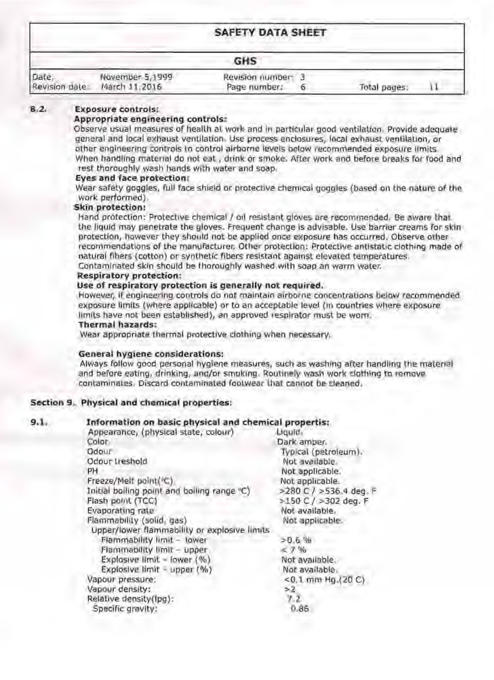|                        |                                  | <b>SAFETY DATA SHEET</b>        |   |              |  |
|------------------------|----------------------------------|---------------------------------|---|--------------|--|
|                        |                                  | GHS                             |   |              |  |
| Date,<br>Revision date | November 5,1999<br>March 11,2016 | Revision number<br>Page number: | ь | Total pages: |  |

#### $B.2.$ **Exposure controls:**

### Appropriate engineering controls:

Observe usual measures of health at work and in particular good ventilation. Provide adequate general and local exhaust ventilation. Use process enclosures, local exhaust ventilation, or other engineering controls in control airborne levels below recommended exposure limits When handling material do not eat, drink or smoke. After work and before breaks for food and rest thoroughly wash hands with water and soap.

#### Eyes and face protection:

Wear safety goggles, full face shield or protective chemical goggles (based on the nature of the work performed).

#### Skin protection:

Hand protection: Protective chemical / oil resistant gloves are recommended. Be aware that the liquid may penetrate the gloves. Frequent change is advisable. Use barrier creams for skin protection, however they should not be applied once exposure has occurred. Observe other recommendations of the manufacturer. Other protection: Protective antistatic clothing made of natural fibers (cotton) or synthetic fibers resistant against elevated temperatures.

Contaminated skin should be thoroughly washed with soap an warm water.

#### **Respiratory protection:**

#### Use of respiratory protection is generally not required.

However, if engineering controls do not maintain airborne concentrations below recommended exposure limits (where applicable) or to an acceptable level (in countries where exposure limits have not been established), an approved respirator must be worn.

#### **Thermal hazards:**

Wear appropriate thermal protective clothing when necessary.

### General hygiene considerations:

Always follow good personal hygiene measures, such as washing after handling the material and before eating, drinking, and/or smoking. Routinely wash work clothing to remove contaminates. Discard contaminated footwear that cannot be cleaned.

### Section 9. Physical and chemical properties:

#### $9.1.$ Information on basic physical and chemical propertis:

| Appearance, (physical state, colour)        | Liquid                   |
|---------------------------------------------|--------------------------|
| Color                                       | Dark amber.              |
| Odour                                       | Typical (petroleum).     |
| Odour treshold                              | Not available.           |
| PH.                                         | Not applicable.          |
| Freeze/Melt point( C)                       | Not applicable.          |
| Initial boiling point and boiling range "C) | >280 C / >536.4 deg. F   |
| Flash point (TCC)                           | $>150$ C / $>302$ deg. F |
| Evaporating rate                            | Not available.           |
| Flammability (solid, nas)                   | Not applicable.          |

Upper/lower flammability or explosive limits Flammability limit - lower Flammability limit - upper Explosive limit - lower  $(\%)$ Explosive limit - upper (%) Vapour pressure: Vapour density: Relative density(lpg): Specific gravity:

 $>0.6$  %  $< 7\%$ Not available. Not available. <0.1 mm Hg.(20 C)  $>2$  $7.2$  $0.86$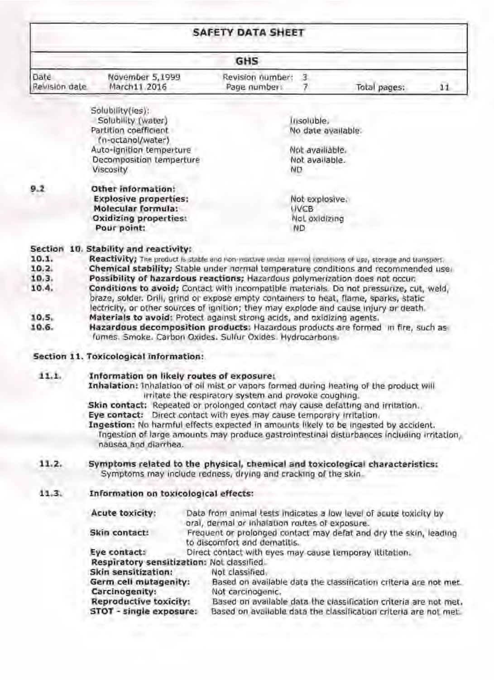| <b>SAFETY DATA SHEET</b>                                              |                                                                                                                                                                                                                                                                                                                                                                                                                                                                                                                                                                                                                                                                                                                                                              |                                                       |                                                       |                    |    |  |
|-----------------------------------------------------------------------|--------------------------------------------------------------------------------------------------------------------------------------------------------------------------------------------------------------------------------------------------------------------------------------------------------------------------------------------------------------------------------------------------------------------------------------------------------------------------------------------------------------------------------------------------------------------------------------------------------------------------------------------------------------------------------------------------------------------------------------------------------------|-------------------------------------------------------|-------------------------------------------------------|--------------------|----|--|
| <b>GHS</b>                                                            |                                                                                                                                                                                                                                                                                                                                                                                                                                                                                                                                                                                                                                                                                                                                                              |                                                       |                                                       |                    |    |  |
| Date<br>Revisión dale                                                 | November 5,1999<br>March11.2016                                                                                                                                                                                                                                                                                                                                                                                                                                                                                                                                                                                                                                                                                                                              | Revision number:<br>Page numbers                      | -3                                                    | Total pages:       | 11 |  |
|                                                                       | Solubility(ies):<br>Solubility (water)<br>Partition coefficient<br>(n-octanol/water)<br>Auto-Ignition temperture<br>Decomposition temperture<br>Viscosity                                                                                                                                                                                                                                                                                                                                                                                                                                                                                                                                                                                                    |                                                       | insoluble,<br>Not availlable.<br>Not available.<br>ΝD | No date available. |    |  |
| 9.2                                                                   | Other information:<br><b>Explosive properties:</b><br>Molecular formula:<br><b>Oxidizing properties:</b><br>Pour point:                                                                                                                                                                                                                                                                                                                                                                                                                                                                                                                                                                                                                                      |                                                       | Not explosive.<br><b>INCB</b><br>Not oxidizing<br>ND  |                    |    |  |
| <b>Section</b><br>10.1.<br>10.2.<br>10.3.<br>10.4.<br>10, 5.<br>10.6. | 10. Stability and reactivity:<br>Reactivity; The product is stable and non-yearing under mornal conditions of use, storage and transport,<br>Chemical stability; Stable under normal temperature conditions and recommended use.<br>Possibility of hazardous reactions; Hazardous polymerization does not occur.<br>Conditions to avoid; Contact with incompatible materials. Do not pressurize, cut, weld,<br>braze, solder. Drill, grind or expose empty containers to heat, flame, sparks, static<br>lectricity, or other sources of ignition; they may explode and cause injury or death.<br>Materials to avoid: Protect against strong acids, and exidizing agents.<br>Hazardous decomposition products: Hazardous products are formed in fire, such as |                                                       |                                                       |                    |    |  |
|                                                                       | fumes. Smoke. Carbon Oxides. Sulfur Oxides. Hydrocarbons.<br>Section 11. Toxicological information:                                                                                                                                                                                                                                                                                                                                                                                                                                                                                                                                                                                                                                                          |                                                       |                                                       |                    |    |  |
| 11.1.                                                                 | Information on likely routes of exposure:<br>Inhalation: Inhalation of oil mist or vapors formed during heating of the product will<br>Skin contact: Repeated or prolonged contact may cause defatting and irritation.<br>Eye contact: Direct contact with eyes may cause temporary irritation.<br>Ingestion: No harmful effects expected in amounts likely to be ingested by accident.<br>Ingestion of large amounts may produce gastrointestinal disturbances including irritation,<br>nausea and diarrhea.                                                                                                                                                                                                                                                | irritate the respiratory system and provoke coughing. |                                                       |                    |    |  |

#### Symptoms related to the physical, chemical and toxicological characteristics:  $11.2.$ Symptoms may include redness, drying and cracking of the skin-

#### $11.3.$ Information on toxicological effects:

Acute toxicity:

Data from animal tests indicates a low level of acute toxicity by oral, dermal or inhalation routes of exposure.

## Skin contact:

Eye contact: Respiratory sensitization: Not classified

Skin sensitization: Germ cell mutagenity: Carcinogenity: **Reproductive toxicity:** STOT - single exposure:

Frequent or prolonged contact may defat and dry the skin, leading to discomfort and dematitis.

Direct contact with eyes may cause temporay illitation.

Not classified.

Based on available data the classification criteria are not met. Not carcinogenic.

Based on available data the classification criteria are not met. Based on available data the classification criteria are not met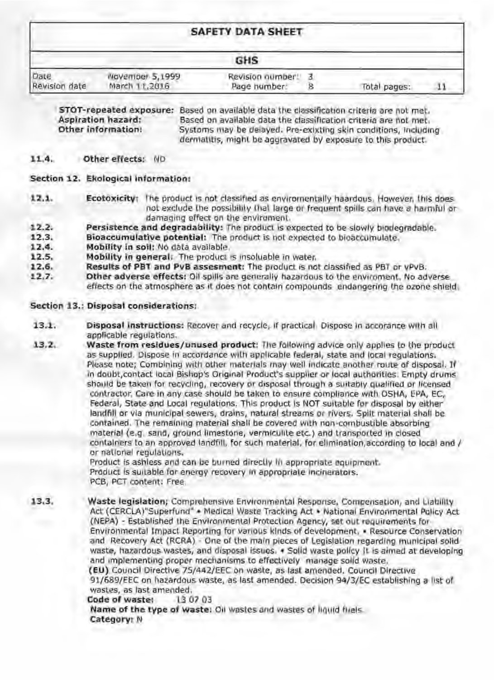|                       |                                  | <b>SAFETY DATA SHEET</b>         |  |              |  |
|-----------------------|----------------------------------|----------------------------------|--|--------------|--|
| <b>GHS</b>            |                                  |                                  |  |              |  |
| Date<br>Revision date | November 5,1999<br>March 11,2016 | Revision number.<br>Page humber: |  | Total pages: |  |

STOT-repeated exposure: Based on available data the classification criteria are not met. Aspiration hazard: Based on available data the classification criteria are not met. Other information! Systoms may be delayed. Pre-exixting skin conditions, including dermatitis, might be aggravated by exposure to this product.

#### 11.4. Other effects: ND

### Section 12. Ekological information:

- 12.1. Ecotoxicity: The product is not classified as environmentally haardous. However, this does not exclude the possibility that large or frequent spills can have a harmful or damaging effect on the enviroment.
- Persistence and degradability: The product is expected to be slowly biodegradable.  $12.2.$
- 12.3. Bioaccumulative potential: The product is not expected to bioaccumulate.
- $12.4.$ Mobility in soil: No data available.
- Mobility in general. The product is insoluable in water. 12.5.
- Results of PBT and PvB assesment: The product is not classified as PBT or yPvB.  $12.6.$
- $12.7.$ Other adverse effects: Oil spills are generally hazardous to the enviroment. No adverse effects on the atmosphere as it does not contain compounds endangering the ozone shield

## Section 13.: Disposal considerations:

- $13.1.$ Disposal instructions: Recover and recycle, if practical Dispose in accorance with all applicable regulations.
- Waste from residues/unused product: The following advice only applies to the product  $13.2.$ as supplied. Dispose in accordance with applicable federal, state and local regulations. Please note; Combining with other materials may well indicate another route of disposal. If in doubt, contact local Bishop's Original Product's supplier or local authorities. Empty drums should be taken for recycling, recovery or disposal through a suitably qualified or licensed contractor, Care in any case should be taken to ensure compliance with OSHA, EPA, EC, Federal, State and Local regulations. This product is NOT suitable for disposal by either landfill or via municipal sewers, drains, natural streams or rivers. Spilt material shall be contained. The remaining material shall be covered with non-combustible absorbing material (e.g. sand, ground limestone, vermiculite etc.) and transported in closed containers to an approved landfill, for such material, for elimination, according to local and / or national regulations.

Product is ashless and can be burned directly th appropriate equipment. Product is suitable for energy recovery in appropriate incinerators. PCB, PCT content: Free

13.3. Waste legislation; Comprehensive Environmental Response, Compensation, and Liability Act (CERCLA)"Superfund" . Medical Waste Tracking Act . National Environmental Policy Act (NEPA) - Established the Environmental Protection Agency, set out requirements for

Environmental Impact Reporting for various kinds of development, . Resource Conservation and Recovery Act (RCRA) - One of the main pieces of Legislation regarding municipal solid waste, hazardous wastes, and disposal issues. . Solid waste policy it is aimed at developing and implementing proper mechanisms to effectively manage solid waste. (EU) Council Directive 75/442/EEC on waste, as last amended. Council Directive 91/689/EEC on hazardous waste, as last amended. Decision 94/3/EC establishing a list of wastes, as last amended. Code of waster 130703 Name of the type of waste: Oil wastes and wastes of liquid fliels Category: N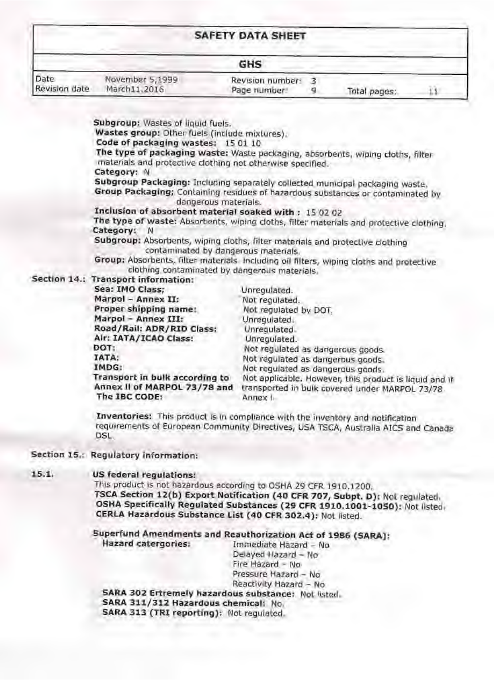| <b>SAFETY DATA SHEET</b> |                                 |                                 |  |              |  |
|--------------------------|---------------------------------|---------------------------------|--|--------------|--|
|                          |                                 | GHS                             |  |              |  |
| Date<br>Revision date    | November 5,1999<br>March11.2016 | Revision number:<br>Page number |  | Total pages: |  |

**The type of packaging waste:** Waste packaging, absorbents, wjping cloths, filter materials and protective clothing not otherwise specified.

**Subgroup:** Wastes of liquid fuels.

**Wastes group:** Other fuels (include mixtures').

Code of packaging wastes; 15 01 10

**Subgroup Packaging:** Including separately collected municipal packaging waste. **Group Packaging; Containing residues of hazardous substances or contaminated by** dangerous materials.

**Inclusion of absorbent material soaked with : 15 02 02** 

The type of waste: Absorbents, wiping cloths, filter materials and protective clothing, **Category:** N

**Category:** N

# **Section 14.: Transport information:**

**Subgroup:** Absorbents, wiping cloths, filter materials and protective clothing contaminated by dahgerous materials.

Group: Absorbents, filter materials including oil filters, wiping cloths and protective clothing contaminated by dangerous materials,

This product is not hazardous according to OSHA 29 CFR 1910.1200. **TSCA Section 12(b) Export Notification (40 CFR 707, Subpt. D):** Not regulated. **OSHA Specifically Regulated Substances ( 29 CFR 1910.1001-1050):** Not listed, **CERLA Hazardous Substance list (40 CFR 302.4):** Not listed.

### **Superfund Amendments and Reauthorization Act of 1986 (SARA): Hazard catergories:** Immediate Hazard - No Delayed Hazard - No

Pressure Hazard - No Reactivity Hazard - No **SARA 302 Ertremely hazardous substance:** Not listed. **SARA 311/312 Hazardous chemical:** No, SARA 313 (TRI reporting): Not regulated.

| Sea: IMO Class;                                                                 | Unregulated.                                                                                                         |
|---------------------------------------------------------------------------------|----------------------------------------------------------------------------------------------------------------------|
| Marpol - Annex II:                                                              | Not regulated.                                                                                                       |
| Proper shipping name:                                                           | Not regulated by DOT.                                                                                                |
| Marpol - Annex III:                                                             | Unregulated.                                                                                                         |
| Road/Rail: ADR/RID Class:                                                       | Unrequiated                                                                                                          |
| Air: IATA/ICAO Class:                                                           | Unregulated.                                                                                                         |
| DOT:                                                                            | Not regulated as dangerous goods.                                                                                    |
| <b>TATA:</b>                                                                    | Not regulated as dangerous goods.                                                                                    |
| IMDG:                                                                           | Not regulated as dangerous goods.                                                                                    |
| Transport in bulk according to<br>Annex II of MARPOL 73/78 and<br>The IBC CODE: | Not applicable. However, this product is liquid and if<br>transported in bulk covered under MARPOL 73/78<br>Annex I. |
|                                                                                 |                                                                                                                      |

**Inventories:** This product Is In compliance with lhe inventory and notification requirements of European Community Directives, USA TSCA, Australia AICS and Canada DSL.

## **Section 15,; Regulatory information:**

### **15.1. US federal regulations:**

Fire Hazard - No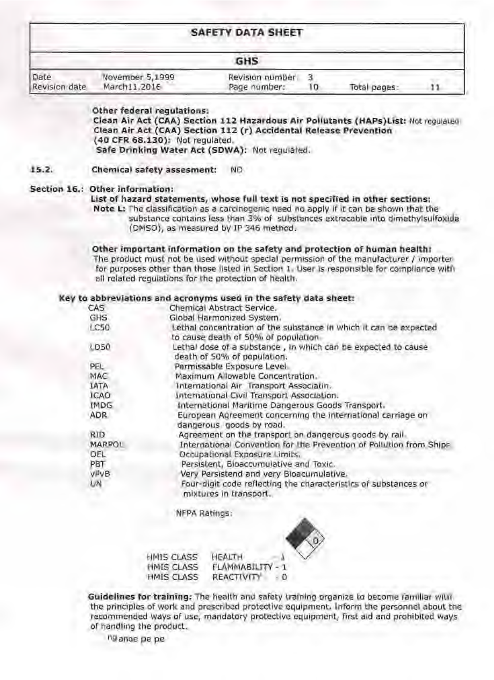|                       |                                 | <b>SAFETY DATA SHEET</b>        |    |              |  |
|-----------------------|---------------------------------|---------------------------------|----|--------------|--|
|                       |                                 | <b>GHS</b>                      |    |              |  |
| Date<br>Revision date | November 5,1999<br>March11.2016 | Revision number<br>Page number: | 10 | Total pages: |  |

Other federal regulations: Clean Air Act (CAA) Section 112 Hazardous Air Pollutants (HAPs) List: Not requiated Clean Air Act (CAA) Section 112 (r) Accidental Release Prevention (40 CFR 68.130): Not regulated. Safe Drinking Water Act (SDWA): Not requiated.

 $15.2.$ Chemical safety assesment: **ND** 

#### Section 16.: Other information:

List of hazard statements, whose full text is not specified in other sections: Note L: The classification as a carcinogenic need no apply if it can be shown that the substance contains less than 3% of substances extracable into dimethylsulfoxide (DMSO), as measured by IP 346 method.

Other important information on the safety and protection of human health: The product must not be used without special permission of the manufacturer / importer for purposes other than those listed in Section 1. User is responsible for compliance with all related regulations for the protection of health.

#### Key to abbreviations and acronyms used in the safety data sheet:

| CAS           | Chemical Abstract Service.                                                                               |
|---------------|----------------------------------------------------------------------------------------------------------|
| GHS           | Global Harmonized System.                                                                                |
| LC50          | Lethal concentration of the substance in which it can be expected<br>to cause death of 50% of population |
| LD50          | Lethal dose of a substance, in which can be expected to cause<br>death of 50% of population.             |
| PEL           | Permissable Exposure Level                                                                               |
| MAC           | Maximum Allowable Concentration.                                                                         |
| <b>IATA</b>   | International Air Transport Associatin.                                                                  |
| <b>ICAO</b>   | International Civil Transport Association.                                                               |
| <b>IMDG</b>   | International Maritime Dangerous Goods Transport.                                                        |
| <b>ADR</b>    | European Agreement concerning the international carriage on<br>dangerous goods by road.                  |
| <b>RID</b>    | Agreement on the transport on dangerous goods by rail.                                                   |
| <b>MARPOL</b> | International Convention for the Prevention of Pollution from Ships                                      |
| OEL           | Occupational Exposure Limits.                                                                            |
| PBT           | Persistent, Bioaccumulative and Toxic.                                                                   |
| VIVB          | Very Persistend and very Bioacumulative.                                                                 |
| UN            | Four-digit code reflecting the characteristics of substances or<br>mixtures in transport.                |

**NFPA Ratings:** 



#### HMIS CLASS HEALTH HMIS CLASS FLAMMABILITY - 1 **HMIS CLASS** REACTIVITY  $-10$

Guidelines for training: The health and safety training organize to become familiar with the principles of work and prescribed protective equipment. Inform the personnel about the recommended ways of use, mandatory protective equipment, first aid and prohibited ways of handling the product.

ng ange pe pe